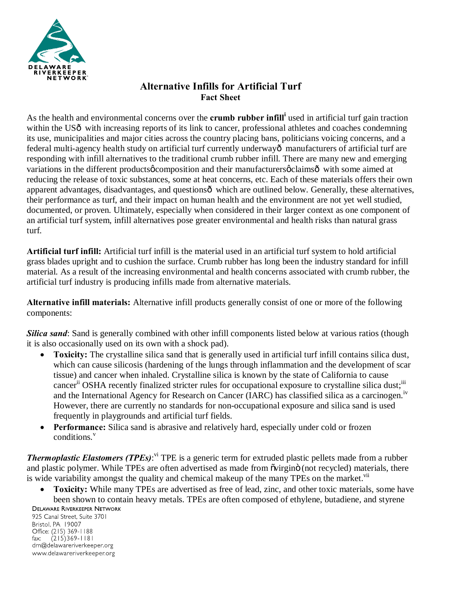

## **Alternative Infills for Artificial Turf Fact Sheet**

As the health and environmental concerns over the **crumb rubber infill<sup>i</sup>** used in artificial turf gain traction within the US<sub>0</sub> with increasing reports of its link to cancer, professional athletes and coaches condemning its use, municipalities and major cities across the country placing bans, politicians voicing concerns, and a federal multi-agency health study on artificial turf currently underwayô manufacturers of artificial turf are responding with infill alternatives to the traditional crumb rubber infill. There are many new and emerging variations in the different products of composition and their manufacturers oclaims  $\hat{\text{o}}$  with some aimed at reducing the release of toxic substances, some at heat concerns, etc. Each of these materials offers their own apparent advantages, disadvantages, and questionsô which are outlined below. Generally, these alternatives, their performance as turf, and their impact on human health and the environment are not yet well studied, documented, or proven. Ultimately, especially when considered in their larger context as one component of an artificial turf system, infill alternatives pose greater environmental and health risks than natural grass turf.

**Artificial turf infill:** Artificial turf infill is the material used in an artificial turf system to hold artificial grass blades upright and to cushion the surface. Crumb rubber has long been the industry standard for infill material. As a result of the increasing environmental and health concerns associated with crumb rubber, the artificial turf industry is producing infills made from alternative materials.

**Alternative infill materials:** Alternative infill products generally consist of one or more of the following components:

*Silica sand*: Sand is generally combined with other infill components listed below at various ratios (though it is also occasionally used on its own with a shock pad).

- **Toxicity:** The crystalline silica sand that is generally used in artificial turf infill contains silica dust, which can cause silicosis (hardening of the lungs through inflammation and the development of scar tissue) and cancer when inhaled. Crystalline silica is known by the state of California to cause cancer<sup>ii</sup> OSHA recently finalized stricter rules for occupational exposure to crystalline silica dust;<sup>iii</sup> and the International Agency for Research on Cancer (IARC) has classified silica as a carcinogen.<sup>1v</sup> However, there are currently no standards for non-occupational exposure and silica sand is used frequently in playgrounds and artificial turf fields.
- · **Performance:** Silica sand is abrasive and relatively hard, especially under cold or frozen conditions.<sup>v</sup>

*Thermoplastic Elastomers (TPEs)*:<sup>vi</sup> TPE is a generic term for extruded plastic pellets made from a rubber and plastic polymer. While TPEs are often advertised as made from  $\tilde{o}$  virgin $\tilde{o}$  (not recycled) materials, there is wide variability amongst the quality and chemical makeup of the many TPEs on the market.<sup>vii</sup>

· **Toxicity:** While many TPEs are advertised as free of lead, zinc, and other toxic materials, some have been shown to contain heavy metals. TPEs are often composed of ethylene, butadiene, and styrene

**DELAWARE RIVERKEEPER NETWORK** 925 Canal Street, Suite 3701 Bristol, PA 19007 Office: (215) 369-1188  $(215)369 - 1181$  $\mathsf{fax:}$ drn@delawareriverkeeper.org www.delawareriverkeeper.org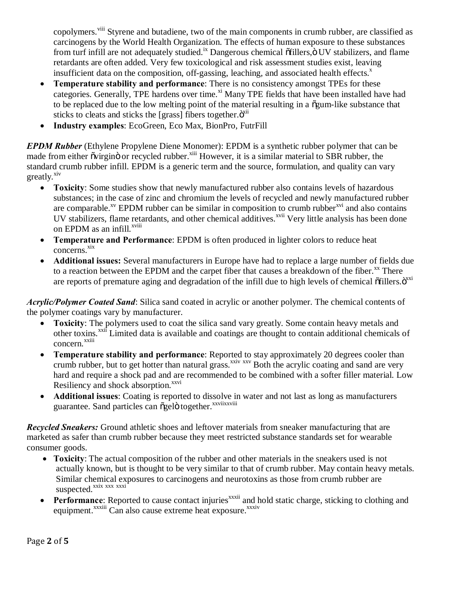copolymers.<sup>viii</sup> Styrene and butadiene, two of the main components in crumb rubber, are classified as carcinogens by the World Health Organization. The effects of human exposure to these substances from turf infill are not adequately studied.<sup>ix</sup> Dangerous chemical offillers,  $\ddot{o}$  UV stabilizers, and flame retardants are often added. Very few toxicological and risk assessment studies exist, leaving insufficient data on the composition, off-gassing, leaching, and associated health effects. $^x$ 

- **Temperature stability and performance:** There is no consistency amongst TPEs for these categories. Generally, TPE hardens over time.<sup>xi</sup> Many TPE fields that have been installed have had to be replaced due to the low melting point of the material resulting in a  $\delta$ gum-like substance that sticks to cleats and sticks the [grass] fibers together. $\ddot{o}^{xii}$
- · **Industry examples**: EcoGreen, Eco Max, BionPro, FutrFill

*EPDM Rubber* (Ethylene Propylene Diene Monomer): EPDM is a synthetic rubber polymer that can be made from either ovirgino or recycled rubber.<sup>xiii</sup> However, it is a similar material to SBR rubber, the standard crumb rubber infill. EPDM is a generic term and the source, formulation, and quality can vary greatly.<sup>xiv</sup>

- · **Toxicity**: Some studies show that newly manufactured rubber also contains levels of hazardous substances; in the case of zinc and chromium the levels of recycled and newly manufactured rubber are comparable.<sup>xv</sup> EPDM rubber can be similar in composition to crumb rubber<sup> $xvi$ </sup> and also contains UV stabilizers, flame retardants, and other chemical additives.<sup>xvii</sup> Very little analysis has been done on EPDM as an infill.<sup>xviii</sup>
- · **Temperature and Performance**: EPDM is often produced in lighter colors to reduce heat concerns. xix
- · **Additional issues:** Several manufacturers in Europe have had to replace a large number of fields due to a reaction between the EPDM and the carpet fiber that causes a breakdown of the fiber.<sup>xx</sup> There are reports of premature aging and degradation of the infill due to high levels of chemical  $\tilde{o}$ fillers. $\tilde{o}^{xxi}$

*Acrylic/Polymer Coated Sand*: Silica sand coated in acrylic or another polymer. The chemical contents of the polymer coatings vary by manufacturer.

- Toxicity: The polymers used to coat the silica sand vary greatly. Some contain heavy metals and other toxins.<sup>xxii</sup> Limited data is available and coatings are thought to contain additional chemicals of concern. xxiii
- · **Temperature stability and performance**: Reported to stay approximately 20 degrees cooler than crumb rubber, but to get hotter than natural grass.<sup>xxiv xxv</sup> Both the acrylic coating and sand are very hard and require a shock pad and are recommended to be combined with a softer filler material. Low Resiliency and shock absorption.<sup>xxvi</sup>
- · **Additional issues**: Coating is reported to dissolve in water and not last as long as manufacturers guarantee. Sand particles can õgelö together.<sup>xxviixxviii</sup>

*Recycled Sneakers:* Ground athletic shoes and leftover materials from sneaker manufacturing that are marketed as safer than crumb rubber because they meet restricted substance standards set for wearable consumer goods.

- · **Toxicity**: The actual composition of the rubber and other materials in the sneakers used is not actually known, but is thought to be very similar to that of crumb rubber. May contain heavy metals. Similar chemical exposures to carcinogens and neurotoxins as those from crumb rubber are suspected.<sup>xxix xxx</sup> xxxi
- **Performance**: Reported to cause contact injuries<sup>xxxii</sup> and hold static charge, sticking to clothing and equipment.<sup>xxxiii</sup> Can also cause extreme heat exposure.<sup>xxxiv</sup>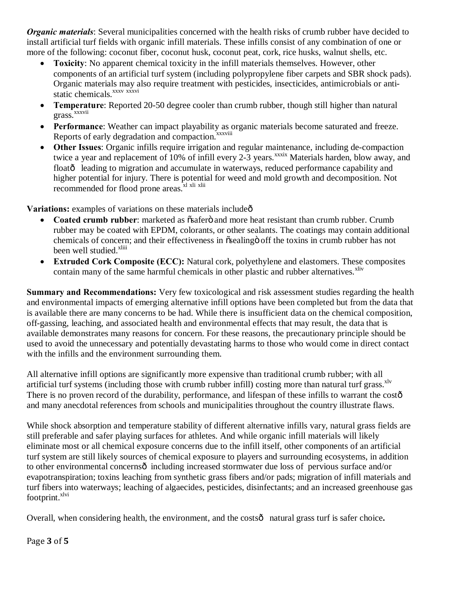*Organic materials*: Several municipalities concerned with the health risks of crumb rubber have decided to install artificial turf fields with organic infill materials. These infills consist of any combination of one or more of the following: coconut fiber, coconut husk, coconut peat, cork, rice husks, walnut shells, etc.

- **Toxicity**: No apparent chemical toxicity in the infill materials themselves. However, other components of an artificial turf system (including polypropylene fiber carpets and SBR shock pads). Organic materials may also require treatment with pesticides, insecticides, antimicrobials or antistatic chemicals.<sup>xxxv</sup> xxxvi
- · **Temperature**: Reported 20-50 degree cooler than crumb rubber, though still higher than natural grass.<sup>xxxvii</sup>
- Performance: Weather can impact playability as organic materials become saturated and freeze. Reports of early degradation and compaction.<sup>xxxviii</sup>
- **Other Issues:** Organic infills require irrigation and regular maintenance, including de-compaction twice a year and replacement of 10% of infill every 2-3 years.<sup>xxxix</sup> Materials harden, blow away, and floatô leading to migration and accumulate in waterways, reduced performance capability and higher potential for injury. There is potential for weed and mold growth and decomposition. Not recommended for flood prone areas.<sup>xl xli xlii</sup>

Variations: examples of variations on these materials include<sup> $\hat{o}$ </sup>

- **Coated crumb rubber**: marketed as  $\tilde{o}$ safer $\tilde{o}$  and more heat resistant than crumb rubber. Crumb rubber may be coated with EPDM, colorants, or other sealants. The coatings may contain additional chemicals of concern; and their effectiveness in  $\tilde{\text{oscaling}}$  off the toxins in crumb rubber has not been well studied.<sup>xliii</sup>
- · **Extruded Cork Composite (ECC):** Natural cork, polyethylene and elastomers. These composites contain many of the same harmful chemicals in other plastic and rubber alternatives.<sup>xliv</sup>

**Summary and Recommendations:** Very few toxicological and risk assessment studies regarding the health and environmental impacts of emerging alternative infill options have been completed but from the data that is available there are many concerns to be had. While there is insufficient data on the chemical composition, off-gassing, leaching, and associated health and environmental effects that may result, the data that is available demonstrates many reasons for concern. For these reasons, the precautionary principle should be used to avoid the unnecessary and potentially devastating harms to those who would come in direct contact with the infills and the environment surrounding them.

All alternative infill options are significantly more expensive than traditional crumb rubber; with all artificial turf systems (including those with crumb rubber infill) costing more than natural turf grass.<sup>xlv</sup> There is no proven record of the durability, performance, and lifespan of these infills to warrant the costô and many anecdotal references from schools and municipalities throughout the country illustrate flaws.

While shock absorption and temperature stability of different alternative infills vary, natural grass fields are still preferable and safer playing surfaces for athletes. And while organic infill materials will likely eliminate most or all chemical exposure concerns due to the infill itself, other components of an artificial turf system are still likely sources of chemical exposure to players and surrounding ecosystems, in addition to other environmental concerns $\hat{o}$  including increased stormwater due loss of pervious surface and/or evapotranspiration; toxins leaching from synthetic grass fibers and/or pads; migration of infill materials and turf fibers into waterways; leaching of algaecides, pesticides, disinfectants; and an increased greenhouse gas footprint.<sup>xlvi</sup>

Overall, when considering health, the environment, and the costs<sup> $\hat{o}$ </sup> natural grass turf is safer choice.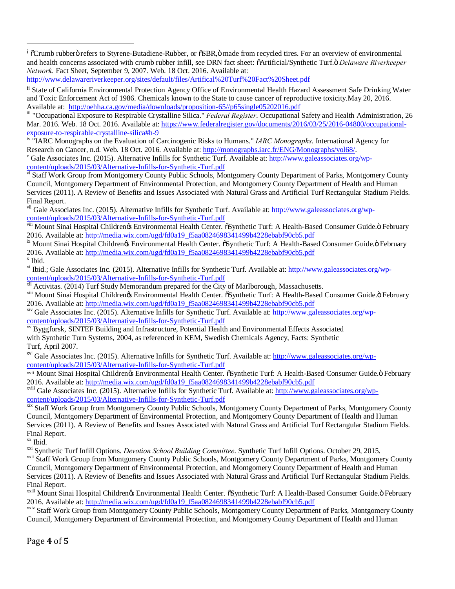<sup>i</sup>  $\sigma$ Crumb rubbero refers to Styrene-Butadiene-Rubber, or  $\sigma$ SBR, $\ddot{o}$  made from recycled tires. For an overview of environmental and health concerns associated with crumb rubber infill, see DRN fact sheet: "Artificial/Synthetic Turf." *Delaware Riverkeeper Network.* Fact Sheet, September 9, 2007. Web. 18 Oct. 2016. Available at:

http://www.delawareriverkeeper.org/sites/default/files/Artifical%20Turf%20Fact%20Sheet.pdf

ii State of California Environmental Protection Agency Office of Environmental Health Hazard Assessment Safe Drinking Water and Toxic Enforcement Act of 1986. Chemicals known to the State to cause cancer of reproductive toxicity.May 20, 2016.<br>Available at: http://oehha.ca.gov/media/downloads/proposition-65//p65single05202016.pdf

<sup>iii</sup> "Occupational Exposure to Respirable Crystalline Silica." *Federal Register*. Occupational Safety and Health Administration, 26 Mar. 2016. Web. 18 Oct. 2016. Available at: https://www.federalregister.gov/documents/2016/03/25/2016-04800/occupationalexposure-to-respirable-crystalline-silica#h-9

iv "IARC Monographs on the Evaluation of Carcinogenic Risks to Humans." *IARC Monographs*. International Agency for Research on Cancer, n.d. Web. 18 Oct. 2016. Available at: http://monographs.iarc.fr/ENG/Monographs/vol68/.<br><sup>v</sup> Gale Associates Inc. (2015). Alternative Infills for Synthetic Turf. Available at: http://www.galeassociates.or content/uploads/2015/03/Alternative-Infills-for-Synthetic-Turf.pdf

vi Staff Work Group from Montgomery County Public Schools, Montgomery County Department of Parks, Montgomery County Council, Montgomery Department of Environmental Protection, and Montgomery County Department of Health and Human Services (2011). A Review of Benefits and Issues Associated with Natural Grass and Artificial Turf Rectangular Stadium Fields. Final Report.

v<sup>ii</sup> Gale Associates Inc. (2015). Alternative Infills for Synthetic Turf. Available at: http://www.galeassociates.org/wpcontent/uploads/2015/03/Alternative-Infills-for-Synthetic-Turf.pdf

viii Mount Sinai Hospital Childrenøs Environmental Health Center.  $\delta$ Synthetic Turf: A Health-Based Consumer Guide. Ö February 2016. Available at: http://media.wix.com/ugd/fd0a19\_f5aa0824698341499b4228ebabf90cb5.pdf<br>
<sup>ix</sup> Mount Sinai Hospital Children% Environmental Health Center.  $\delta$ Synthetic Turf: A Health-Based Consumer Guide. Pebruary

2016. Available at: http://media.wix.com/ugd/fd0a19\_f5aa0824698341499b4228ebabf90cb5.pdf<br>
<sup>x</sup> Ibid.<br>
<sup>xi</sup> Ibid.; Gale Associates Inc. (2015). Alternative Infills for Synthetic Turf. Available at: http://www.galeassociates.

content/uploads/2015/03/Alternative-Infills-for-Synthetic-Turf.pdf<br>
<sup>xii</sup> Activitas. (2014) Turf Study Memorandum prepared for the City of Marlborough, Massachusetts.<br>
<sup>xiii</sup> Mount Sinai Hospital Childrenøs Environmental H

2016. Available at: http://media.wix.com/ugd/fd0a19\_f5aa0824698341499b4228ebabf90cb5.pdf

xiv Gale Associates Inc. (2015). Alternative Infills for Synthetic Turf. Available at: http://www.galeassociates.org/wpcontent/uploads/2015/03/Alternative-Infills-for-Synthetic-Turf.pdf xv Byggforsk, SINTEF Building and Infrastructure, Potential Health and Environmental Effects Associated

with Synthetic Turn Systems, 2004, as referenced in KEM, Swedish Chemicals Agency, Facts: Synthetic Turf, April 2007.

<sup>xvi</sup> Gale Associates Inc. (2015). Alternative Infills for Synthetic Turf. Available at: http://www.galeassociates.org/wpcontent/uploads/2015/03/Alternative-Infills-for-Synthetic-Turf.pdf

xvii Mount Sinai Hospital Children's Environmental Health Center. "Synthetic Turf: A Health-Based Consumer Guide." February 2016. Available at: http://media.wix.com/ugd/fd0a19\_f5aa0824698341499b4228ebabf90cb5.pdf

xviii Gale Associates Inc. (2015). Alternative Infills for Synthetic Turf. Available at: http://www.galeassociates.org/wpcontent/uploads/2015/03/Alternative-Infills-for-Synthetic-Turf.pdf<br>xix Staff Work Group from Montgomery County Public Schools, Montgomery County Department of Parks, Montgomery County

Council, Montgomery Department of Environmental Protection, and Montgomery County Department of Health and Human Services (2011). A Review of Benefits and Issues Associated with Natural Grass and Artificial Turf Rectangular Stadium Fields. Final Report.<br>xx Ibid.

<sup>xxi</sup> Synthetic Turf Infill Options. *Devotion School Building Committee*. Synthetic Turf Infill Options. October 29, 2015.<br><sup>xxii</sup> Staff Work Group from Montgomery County Public Schools. Montgomery County Department of Par

Council, Montgomery Department of Environmental Protection, and Montgomery County Department of Health and Human Services (2011). A Review of Benefits and Issues Associated with Natural Grass and Artificial Turf Rectangular Stadium Fields. Final Report.

xxiii Mount Sinai Hospital Childrenøs Environmental Health Center.  $\tilde{c}$ Synthetic Turf: A Health-Based Consumer Guide. Ö February 2016. Available at: http://media.wix.com/ugd/fd0a19\_f5aa0824698341499b4228ebabf90cb5.pdf

xxiv Staff Work Group from Montgomery County Public Schools, Montgomery County Department of Parks, Montgomery County Council, Montgomery Department of Environmental Protection, and Montgomery County Department of Health and Human